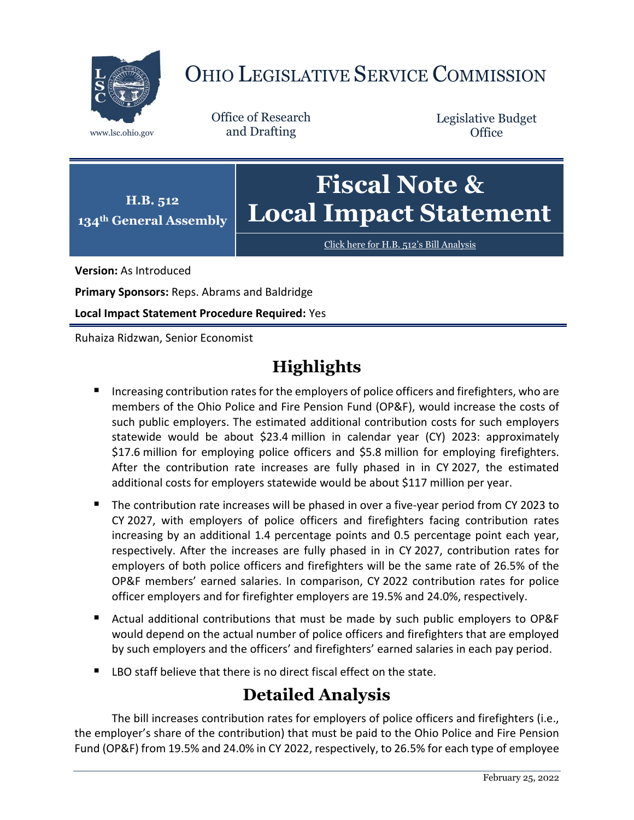

# OHIO LEGISLATIVE SERVICE COMMISSION

Office of Research www.lsc.ohio.gov and Drafting

Legislative Budget **Office** 



[Click here for H.B. 512](https://www.legislature.ohio.gov/legislation/legislation-documents?id=GA134-HB-512)'s Bill Analysis

**Version:** As Introduced

**Primary Sponsors:** Reps. Abrams and Baldridge

**Local Impact Statement Procedure Required:** Yes

Ruhaiza Ridzwan, Senior Economist

## **Highlights**

- **Increasing contribution rates for the employers of police officers and firefighters, who are** members of the Ohio Police and Fire Pension Fund (OP&F), would increase the costs of such public employers. The estimated additional contribution costs for such employers statewide would be about \$23.4 million in calendar year (CY) 2023: approximately \$17.6 million for employing police officers and \$5.8 million for employing firefighters. After the contribution rate increases are fully phased in in CY 2027, the estimated additional costs for employers statewide would be about \$117 million per year.
- The contribution rate increases will be phased in over a five-year period from CY 2023 to CY 2027, with employers of police officers and firefighters facing contribution rates increasing by an additional 1.4 percentage points and 0.5 percentage point each year, respectively. After the increases are fully phased in in CY 2027, contribution rates for employers of both police officers and firefighters will be the same rate of 26.5% of the OP&F members' earned salaries. In comparison, CY 2022 contribution rates for police officer employers and for firefighter employers are 19.5% and 24.0%, respectively.
- Actual additional contributions that must be made by such public employers to OP&F would depend on the actual number of police officers and firefighters that are employed by such employers and the officers' and firefighters' earned salaries in each pay period.
- LBO staff believe that there is no direct fiscal effect on the state.

### **Detailed Analysis**

The bill increases contribution rates for employers of police officers and firefighters (i.e., the employer's share of the contribution) that must be paid to the Ohio Police and Fire Pension Fund (OP&F) from 19.5% and 24.0% in CY 2022, respectively, to 26.5% for each type of employee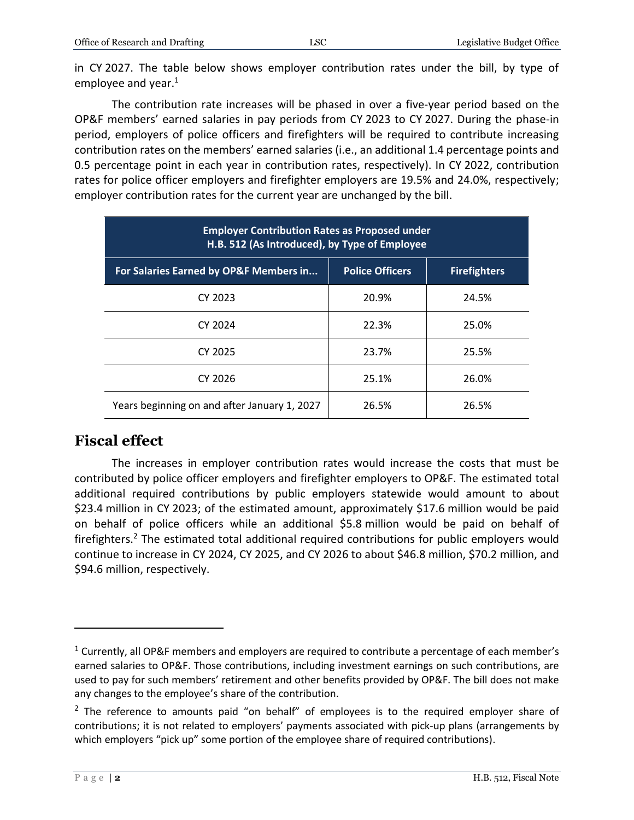in CY 2027. The table below shows employer contribution rates under the bill, by type of employee and year. 1

The contribution rate increases will be phased in over a five-year period based on the OP&F members' earned salaries in pay periods from CY 2023 to CY 2027. During the phase-in period, employers of police officers and firefighters will be required to contribute increasing contribution rates on the members' earned salaries (i.e., an additional 1.4 percentage points and 0.5 percentage point in each year in contribution rates, respectively). In CY 2022, contribution rates for police officer employers and firefighter employers are 19.5% and 24.0%, respectively; employer contribution rates for the current year are unchanged by the bill.

| <b>Employer Contribution Rates as Proposed under</b><br>H.B. 512 (As Introduced), by Type of Employee |                        |                     |
|-------------------------------------------------------------------------------------------------------|------------------------|---------------------|
| For Salaries Earned by OP&F Members in                                                                | <b>Police Officers</b> | <b>Firefighters</b> |
| CY 2023                                                                                               | 20.9%                  | 24.5%               |
| CY 2024                                                                                               | 22.3%                  | 25.0%               |
| CY 2025                                                                                               | 23.7%                  | 25.5%               |
| CY 2026                                                                                               | 25.1%                  | 26.0%               |
| Years beginning on and after January 1, 2027                                                          | 26.5%                  | 26.5%               |

#### **Fiscal effect**

The increases in employer contribution rates would increase the costs that must be contributed by police officer employers and firefighter employers to OP&F. The estimated total additional required contributions by public employers statewide would amount to about \$23.4 million in CY 2023; of the estimated amount, approximately \$17.6 million would be paid on behalf of police officers while an additional \$5.8 million would be paid on behalf of firefighters.<sup>2</sup> The estimated total additional required contributions for public employers would continue to increase in CY 2024, CY 2025, and CY 2026 to about \$46.8 million, \$70.2 million, and \$94.6 million, respectively.

 $\overline{a}$ 

 $1$  Currently, all OP&F members and employers are required to contribute a percentage of each member's earned salaries to OP&F. Those contributions, including investment earnings on such contributions, are used to pay for such members' retirement and other benefits provided by OP&F. The bill does not make any changes to the employee's share of the contribution.

 $2$  The reference to amounts paid "on behalf" of employees is to the required employer share of contributions; it is not related to employers' payments associated with pick-up plans (arrangements by which employers "pick up" some portion of the employee share of required contributions).